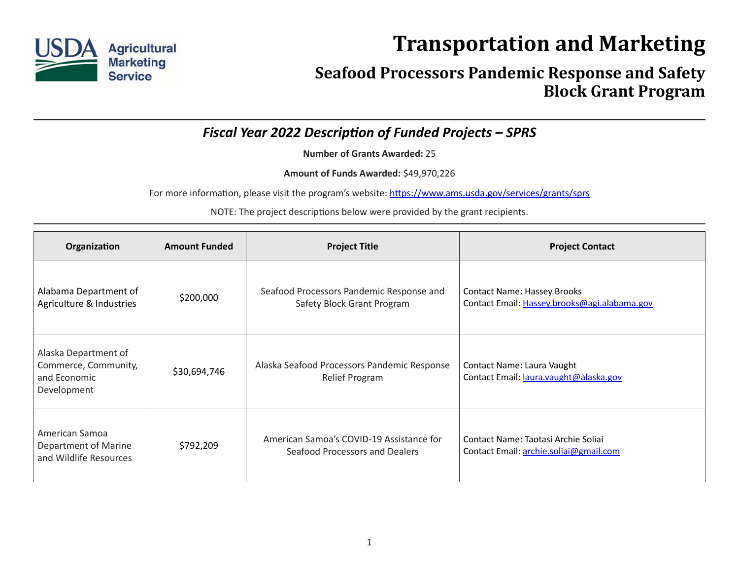

## **Transportation and Marketing**

## **Seafood Processors Pandemic Response and Safety Block Grant Program**

*Fiscal Year 2022 Description of Funded Projects – SPRS*

**Number of Grants Awarded:** 25

**Amount of Funds Awarded:** \$49,970,226

For more information, please visit the program's website: [https://www.ams.usda.gov/services/grants/sprs](https://www.ams.usda.gov/services/grants/sprs )

NOTE: The project descriptions below were provided by the grant recipients.

| Organization                                                                | <b>Amount Funded</b> | <b>Project Title</b>                                                       | <b>Project Contact</b>                                                             |
|-----------------------------------------------------------------------------|----------------------|----------------------------------------------------------------------------|------------------------------------------------------------------------------------|
| Alabama Department of<br>Agriculture & Industries                           | \$200,000            | Seafood Processors Pandemic Response and<br>Safety Block Grant Program     | <b>Contact Name: Hassey Brooks</b><br>Contact Email: Hassey.brooks@agi.alabama.gov |
| Alaska Department of<br>Commerce, Community,<br>and Economic<br>Development | \$30,694,746         | Alaska Seafood Processors Pandemic Response<br><b>Relief Program</b>       | Contact Name: Laura Vaught<br>Contact Email: laura.vaught@alaska.gov               |
| American Samoa<br>Department of Marine<br>and Wildlife Resources            | \$792,209            | American Samoa's COVID-19 Assistance for<br>Seafood Processors and Dealers | Contact Name: Taotasi Archie Soliai<br>Contact Email: archie.soliai@gmail.com      |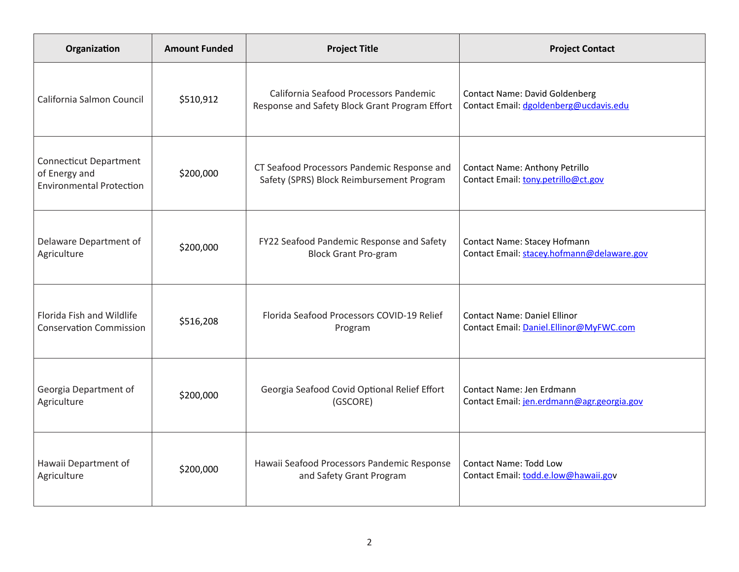| Organization                                                                      | <b>Amount Funded</b> | <b>Project Title</b>                                                                     | <b>Project Contact</b>                                                          |
|-----------------------------------------------------------------------------------|----------------------|------------------------------------------------------------------------------------------|---------------------------------------------------------------------------------|
| California Salmon Council                                                         | \$510,912            | California Seafood Processors Pandemic<br>Response and Safety Block Grant Program Effort | <b>Contact Name: David Goldenberg</b><br>Contact Email: dgoldenberg@ucdavis.edu |
| <b>Connecticut Department</b><br>of Energy and<br><b>Environmental Protection</b> | \$200,000            | CT Seafood Processors Pandemic Response and<br>Safety (SPRS) Block Reimbursement Program | Contact Name: Anthony Petrillo<br>Contact Email: tony.petrillo@ct.gov           |
| Delaware Department of                                                            | \$200,000            | FY22 Seafood Pandemic Response and Safety                                                | Contact Name: Stacey Hofmann                                                    |
| Agriculture                                                                       |                      | <b>Block Grant Pro-gram</b>                                                              | Contact Email: stacey.hofmann@delaware.gov                                      |
| Florida Fish and Wildlife                                                         | \$516,208            | Florida Seafood Processors COVID-19 Relief                                               | <b>Contact Name: Daniel Ellinor</b>                                             |
| <b>Conservation Commission</b>                                                    |                      | Program                                                                                  | Contact Email: Daniel.Ellinor@MyFWC.com                                         |
| Georgia Department of                                                             | \$200,000            | Georgia Seafood Covid Optional Relief Effort                                             | Contact Name: Jen Erdmann                                                       |
| Agriculture                                                                       |                      | (GSCORE)                                                                                 | Contact Email: jen.erdmann@agr.georgia.gov                                      |
| Hawaii Department of                                                              | \$200,000            | Hawaii Seafood Processors Pandemic Response                                              | <b>Contact Name: Todd Low</b>                                                   |
| Agriculture                                                                       |                      | and Safety Grant Program                                                                 | Contact Email: todd.e.low@hawaii.gov                                            |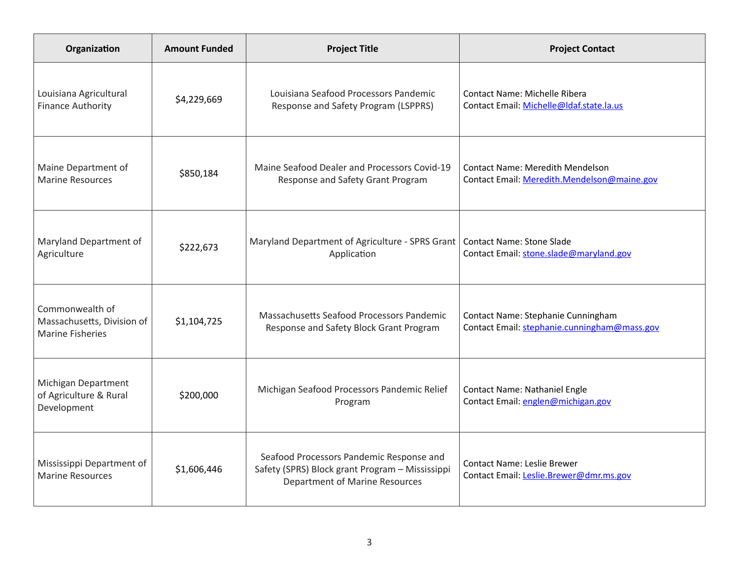| Organization                                                             | <b>Amount Funded</b> | <b>Project Title</b>                                                                                                                 | <b>Project Contact</b>                                                                 |
|--------------------------------------------------------------------------|----------------------|--------------------------------------------------------------------------------------------------------------------------------------|----------------------------------------------------------------------------------------|
| Louisiana Agricultural<br><b>Finance Authority</b>                       | \$4,229,669          | Louisiana Seafood Processors Pandemic<br>Response and Safety Program (LSPPRS)                                                        | Contact Name: Michelle Ribera<br>Contact Email: Michelle@Idaf.state.la.us              |
| Maine Department of<br><b>Marine Resources</b>                           | \$850,184            | Maine Seafood Dealer and Processors Covid-19<br>Response and Safety Grant Program                                                    | <b>Contact Name: Meredith Mendelson</b><br>Contact Email: Meredith.Mendelson@maine.gov |
| Maryland Department of<br>Agriculture                                    | \$222,673            | Maryland Department of Agriculture - SPRS Grant   Contact Name: Stone Slade<br>Application                                           | Contact Email: stone.slade@maryland.gov                                                |
| Commonwealth of<br>Massachusetts, Division of<br><b>Marine Fisheries</b> | \$1,104,725          | Massachusetts Seafood Processors Pandemic<br>Response and Safety Block Grant Program                                                 | Contact Name: Stephanie Cunningham<br>Contact Email: stephanie.cunningham@mass.gov     |
| Michigan Department<br>of Agriculture & Rural<br>Development             | \$200,000            | Michigan Seafood Processors Pandemic Relief<br>Program                                                                               | Contact Name: Nathaniel Engle<br>Contact Email: englen@michigan.gov                    |
| Mississippi Department of<br><b>Marine Resources</b>                     | \$1,606,446          | Seafood Processors Pandemic Response and<br>Safety (SPRS) Block grant Program - Mississippi<br><b>Department of Marine Resources</b> | <b>Contact Name: Leslie Brewer</b><br>Contact Email: Leslie.Brewer@dmr.ms.gov          |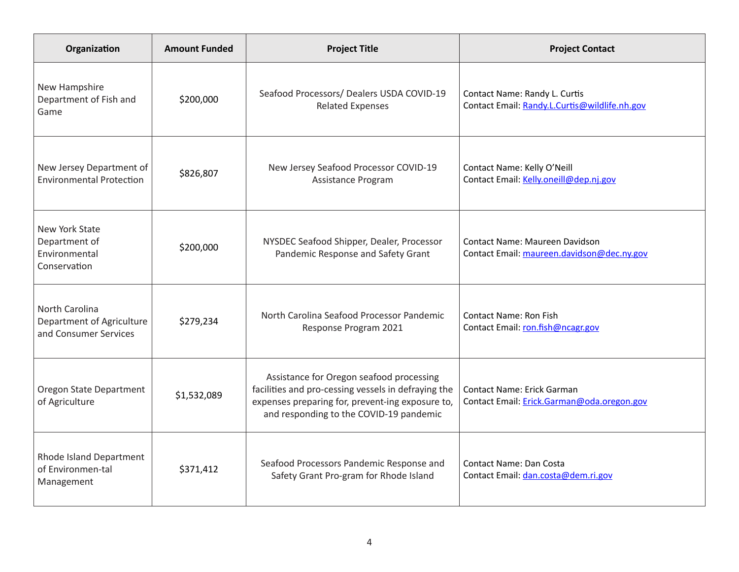| Organization                                                         | <b>Amount Funded</b> | <b>Project Title</b>                                                                                                                                                                           | <b>Project Contact</b>                                                         |
|----------------------------------------------------------------------|----------------------|------------------------------------------------------------------------------------------------------------------------------------------------------------------------------------------------|--------------------------------------------------------------------------------|
| New Hampshire<br>Department of Fish and<br>Game                      | \$200,000            | Seafood Processors/ Dealers USDA COVID-19<br><b>Related Expenses</b>                                                                                                                           | Contact Name: Randy L. Curtis<br>Contact Email: Randy.L.Curtis@wildlife.nh.gov |
| New Jersey Department of<br><b>Environmental Protection</b>          | \$826,807            | New Jersey Seafood Processor COVID-19<br>Assistance Program                                                                                                                                    | Contact Name: Kelly O'Neill<br>Contact Email: Kelly.oneill@dep.nj.gov          |
| New York State<br>Department of<br>Environmental<br>Conservation     | \$200,000            | NYSDEC Seafood Shipper, Dealer, Processor<br>Pandemic Response and Safety Grant                                                                                                                | Contact Name: Maureen Davidson<br>Contact Email: maureen.davidson@dec.ny.gov   |
| North Carolina<br>Department of Agriculture<br>and Consumer Services | \$279,234            | North Carolina Seafood Processor Pandemic<br>Response Program 2021                                                                                                                             | <b>Contact Name: Ron Fish</b><br>Contact Email: ron.fish@ncagr.gov             |
| Oregon State Department<br>of Agriculture                            | \$1,532,089          | Assistance for Oregon seafood processing<br>facilities and pro-cessing vessels in defraying the<br>expenses preparing for, prevent-ing exposure to,<br>and responding to the COVID-19 pandemic | Contact Name: Erick Garman<br>Contact Email: Erick.Garman@oda.oregon.gov       |
| Rhode Island Department<br>of Environmen-tal<br>Management           | \$371,412            | Seafood Processors Pandemic Response and<br>Safety Grant Pro-gram for Rhode Island                                                                                                             | Contact Name: Dan Costa<br>Contact Email: dan.costa@dem.ri.gov                 |